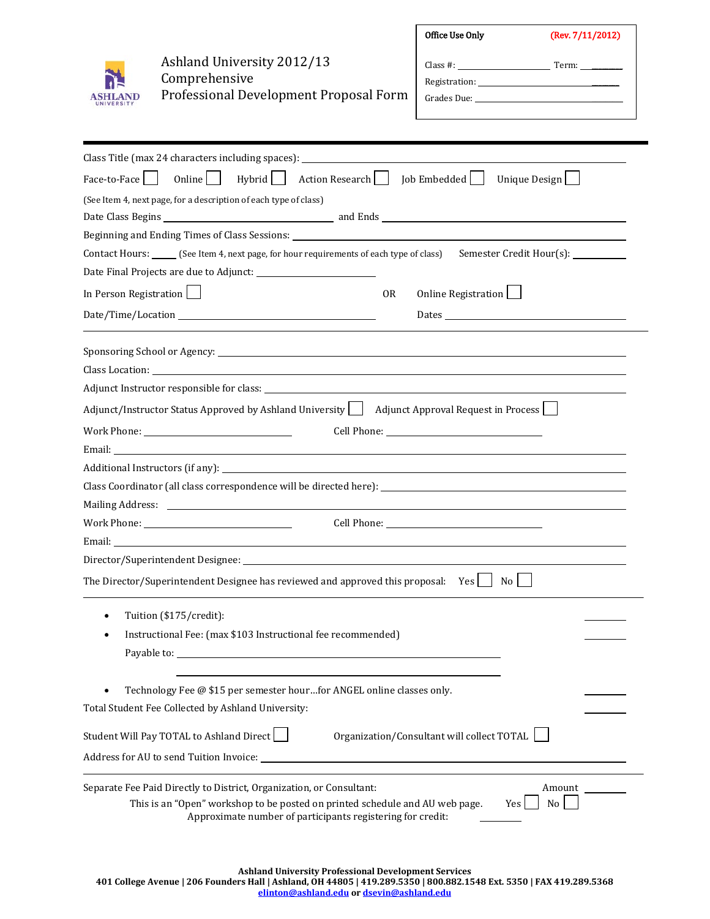| SH<br>ГΔ<br>n<br>r |
|--------------------|
| <b>IVERS</b>       |

Ashland University 2012/13 Comprehensive Professional Development Proposal Form

| Office Use Only | (Rev. 7/11/2012) |
|-----------------|------------------|
| Class #:        | Term:            |
|                 |                  |
|                 |                  |
|                 |                  |

| Class Title (max 24 characters including spaces): ______________________________                                                                                                                                                          |
|-------------------------------------------------------------------------------------------------------------------------------------------------------------------------------------------------------------------------------------------|
| Hybrid<br>Action Research   Job Embedded  <br>Online<br>Face-to-Face<br>Unique Design                                                                                                                                                     |
| (See Item 4, next page, for a description of each type of class)                                                                                                                                                                          |
|                                                                                                                                                                                                                                           |
| Beginning and Ending Times of Class Sessions: <u>the contract of the contract of the contract of the contract of the contract of the contract of the contract of the contract of the contract of the contract of the contract of</u>      |
| Contact Hours: ______ (See Item 4, next page, for hour requirements of each type of class) Semester Credit Hour(s): _________                                                                                                             |
|                                                                                                                                                                                                                                           |
| In Person Registration<br>Online Registration<br><b>OR</b>                                                                                                                                                                                |
| Dates and the contract of the contract of the contract of the contract of the contract of the contract of the contract of the contract of the contract of the contract of the contract of the contract of the contract of the             |
|                                                                                                                                                                                                                                           |
|                                                                                                                                                                                                                                           |
|                                                                                                                                                                                                                                           |
| Adjunct/Instructor Status Approved by Ashland University<br>Adjunct Approval Request in Process                                                                                                                                           |
|                                                                                                                                                                                                                                           |
|                                                                                                                                                                                                                                           |
|                                                                                                                                                                                                                                           |
| Class Coordinator (all class correspondence will be directed here): ________________________________                                                                                                                                      |
|                                                                                                                                                                                                                                           |
|                                                                                                                                                                                                                                           |
|                                                                                                                                                                                                                                           |
|                                                                                                                                                                                                                                           |
|                                                                                                                                                                                                                                           |
| Tuition (\$175/credit):<br>$\bullet$                                                                                                                                                                                                      |
| Instructional Fee: (max \$103 Instructional fee recommended)<br>٠                                                                                                                                                                         |
|                                                                                                                                                                                                                                           |
|                                                                                                                                                                                                                                           |
| Technology Fee @ \$15 per semester hourfor ANGEL online classes only.                                                                                                                                                                     |
| Total Student Fee Collected by Ashland University:                                                                                                                                                                                        |
| Student Will Pay TOTAL to Ashland Direct<br>Organization/Consultant will collect TOTAL                                                                                                                                                    |
|                                                                                                                                                                                                                                           |
| Separate Fee Paid Directly to District, Organization, or Consultant:<br>Amount<br>This is an "Open" workshop to be posted on printed schedule and AU web page.<br>No<br>Yes<br>Approximate number of participants registering for credit: |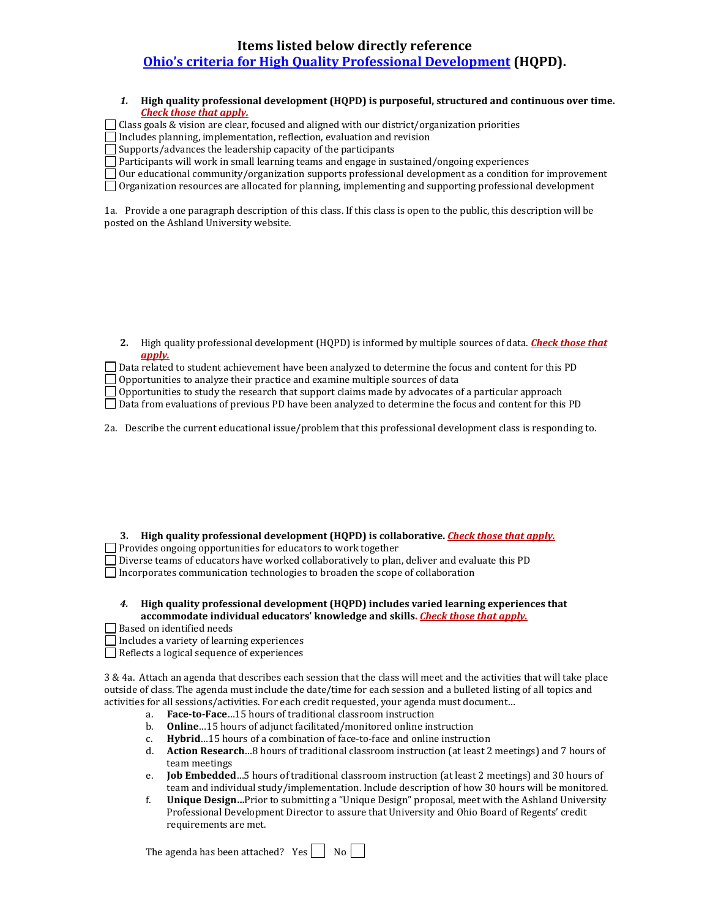# **Items listed below directly reference [Ohio's criteria for High Quality Professional Development](http://education.ohio.gov/GD/Templates/Pages/ODE/ODEDetail.aspx?Page=3&TopicRelationID=1223&Content=122972) (HQPD).**

*1.* **High quality professional development (HQPD) is purposeful, structured and continuous over time.** *Check those that apply.*

 $\Box$  Class goals & vision are clear, focused and aligned with our district/organization priorities

 $\Box$  Includes planning, implementation, reflection, evaluation and revision

 $\Box$  Supports/advances the leadership capacity of the participants

 $\Box$  Participants will work in small learning teams and engage in sustained/ongoing experiences

Our educational community/organization supports professional development as a condition for improvement

Organization resources are allocated for planning, implementing and supporting professional development

1a. Provide a one paragraph description of this class. If this class is open to the public, this description will be posted on the Ashland University website.

**2.** High quality professional development (HQPD) is informed by multiple sources of data. *Check those that apply.*

| Data related to student achievement have been analyzed to determine the focus and content for this PD |
|-------------------------------------------------------------------------------------------------------|
|                                                                                                       |
| Opportunities to analyze their practice and examine multiple sources of data                          |
|                                                                                                       |

Opportunities to study the research that support claims made by advocates of a particular approach

Data from evaluations of previous PD have been analyzed to determine the focus and content for this PD

2a. Describe the current educational issue/problem that this professional development class is responding to.

**3. High quality professional development (HQPD) is collaborative.** *Check those that apply.*

 $\Box$  Provides ongoing opportunities for educators to work together

Diverse teams of educators have worked collaboratively to plan, deliver and evaluate this PD

 $\Box$  Incorporates communication technologies to broaden the scope of collaboration

| High quality professional development (HQPD) includes varied learning experiences that |
|----------------------------------------------------------------------------------------|
| accommodate individual educators' knowledge and skills. Check those that apply.        |

Based on identified needs

 $\Box$  Includes a variety of learning experiences

Reflects a logical sequence of experiences

3 & 4a. Attach an agenda that describes each session that the class will meet and the activities that will take place outside of class. The agenda must include the date/time for each session and a bulleted listing of all topics and activities for all sessions/activities. For each credit requested, your agenda must document…

- a. **Face-to-Face** ... 15 hours of traditional classroom instruction<br>b. **Online** ... 15 hours of adjunct facilitated/monitored online ins
- b. **Online** ... 15 hours of adjunct facilitated/monitored online instruction c. **Hybrid** ... 15 hours of a combination of face-to-face and online instruct
- c. **Hybrid**…15 hours of a combination of face-to-face and online instruction
- d. **Action Research**…8 hours of traditional classroom instruction (at least 2 meetings) and 7 hours of team meetings
- e. **Job Embedded**…5 hours of traditional classroom instruction (at least 2 meetings) and 30 hours of team and individual study/implementation. Include description of how 30 hours will be monitored.
- f. **Unique Design…**Prior to submitting a "Unique Design" proposal, meet with the Ashland University Professional Development Director to assure that University and Ohio Board of Regents' credit requirements are met.

The agenda has been attached? Yes  $\Box$  No